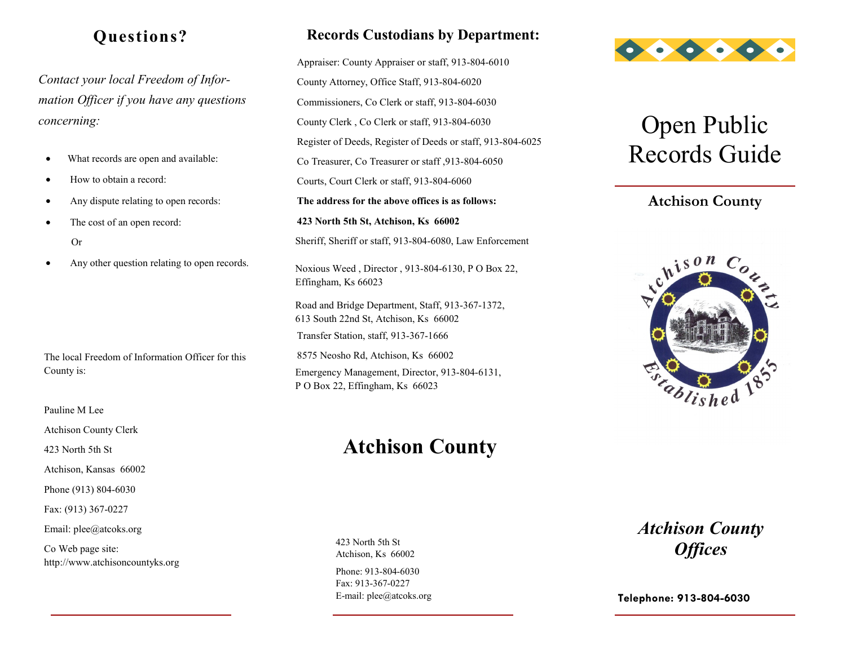## **Questions?**

*Contact your local Freedom of Information Officer if you have any questions concerning:*

- What records are open and available:
- How to obtain a record:
- Any dispute relating to open records:
- The cost of an open record: Or
- Any other question relating to open records.

The local Freedom of Information Officer for this County is:

Pauline M Lee

Atchison County Clerk

423 North 5th St

Atchison, Kansas 66002

Phone (913) 804-6030

Fax: (913) 367-0227

Email: plee@atcoks.org

Co Web page site: http://www.atchisoncountyks.org

### **Records Custodians by Department:**

Appraiser: County Appraiser or staff, 913-804-6010 County Attorney, Office Staff, 913-804-6020 Commissioners, Co Clerk or staff, 913-804-6030 County Clerk , Co Clerk or staff, 913-804-6030 Register of Deeds, Register of Deeds or staff, 913-804-6025 Co Treasurer, Co Treasurer or staff ,913-804-6050 Courts, Court Clerk or staff, 913-804-6060 **The address for the above offices is as follows: 423 North 5th St, Atchison, Ks 66002** Sheriff, Sheriff or staff, 913-804-6080, Law Enforcement Noxious Weed , Director , 913-804-6130, P O Box 22,

Effingham, Ks 66023

Road and Bridge Department, Staff, 913-367-1372, 613 South 22nd St, Atchison, Ks 66002 Transfer Station, staff, 913-367-1666

8575 Neosho Rd, Atchison, Ks 66002 Emergency Management, Director, 913-804-6131, P O Box 22, Effingham, Ks 66023

## **Atchison County**

Phone: 913-804-6030 Fax: 913-367-0227 E-mail: plee@atcoks.org 423 North 5th St Atchison, Ks 66002



# Open Public Records Guide

### **Atchison County**



*Atchison County Offices*

**Telephone: 913-804-6030**